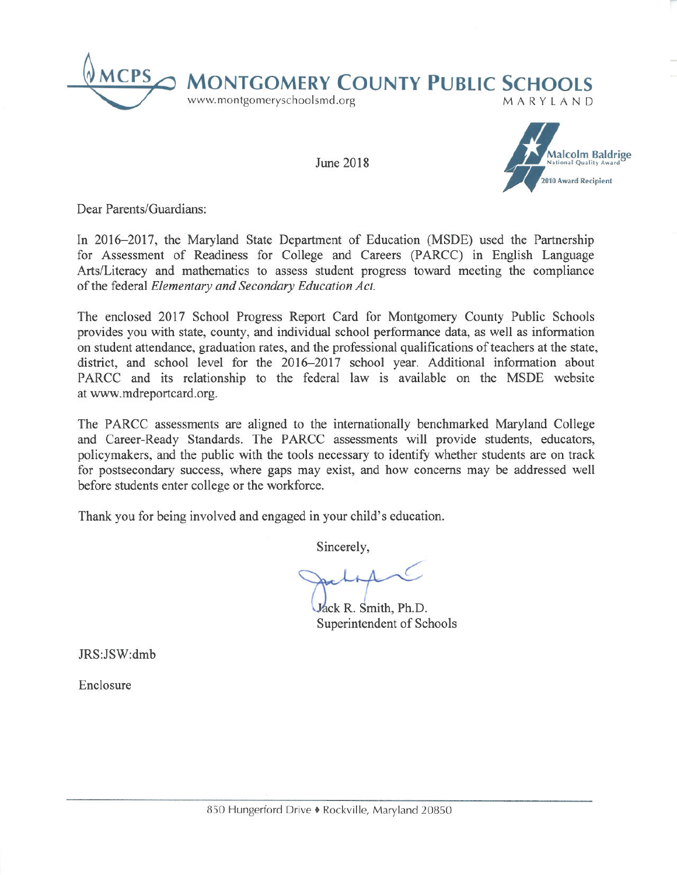

June 2018



Dear Parents/Guardians:

In 2016–2017, the Maryland State Department of Education (MSDE) used the Partnership for Assessment of Readiness for College and Careers (PARCC) in English Language Arts/Literacy and mathematics to assess student progress toward meeting the compliance of the federal Elementary and Secondary Education Act.

The enclosed 2017 School Progress Report Card for Montgomery County Public Schools provides you with state, county, and individual school performance data, as well as information on student attendance, graduation rates, and the professional qualifications of teachers at the state, district, and school level for the 2016-2017 school year. Additional information about PARCC and its relationship to the federal law is available on the MSDE website at www.mdreportcard.org.

The PARCC assessments are aligned to the internationally benchmarked Maryland College and Career-Ready Standards. The PARCC assessments will provide students, educators, policymakers, and the public with the tools necessary to identify whether students are on track for postsecondary success, where gaps may exist, and how concerns may be addressed well before students enter college or the workforce.

Thank you for being involved and engaged in your child's education.

Sincerely,

Jack R. Smith, Ph.D. Superintendent of Schools

JRS:JSW:dmb

Enclosure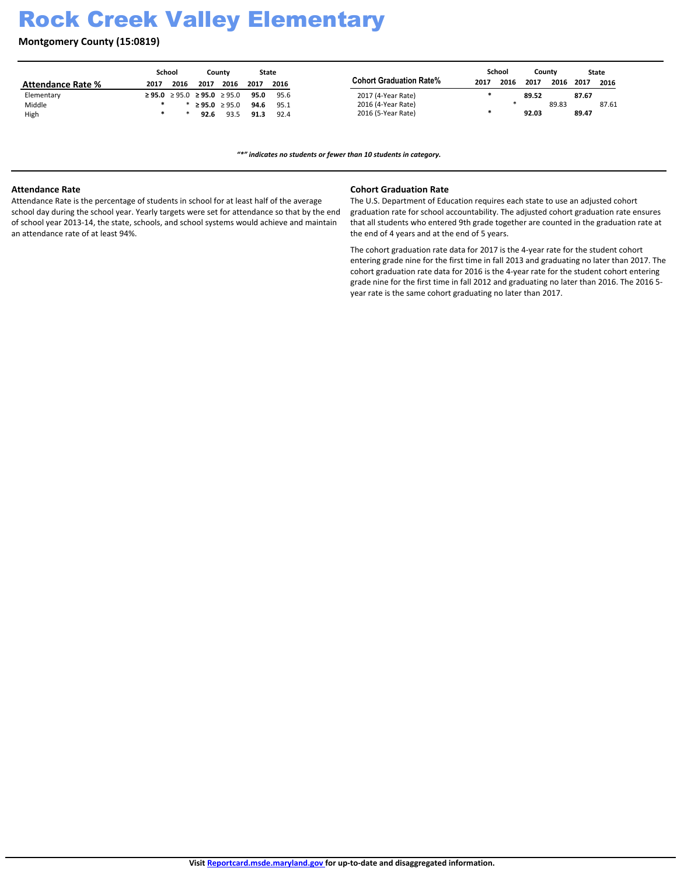# Rock Creek Valley Elementary

**Montgomery County (15:0819)**

|                          | School |                                                 |               | Countv | State |      |                         |      | School |       | County |       | State |
|--------------------------|--------|-------------------------------------------------|---------------|--------|-------|------|-------------------------|------|--------|-------|--------|-------|-------|
| <b>Attendance Rate %</b> | 2017   | 2016                                            | 2017          | 2016   | 2017  | 2016 | Cohort Graduation Rate% | 2017 | 2016   | 2017  | 2016   | 2017  | 2016  |
| Elementary               |        | $\geq$ 95.0 $\geq$ 95.0 $\geq$ 95.0 $\geq$ 95.0 |               |        | 95.0  | 95.6 | 2017 (4-Year Rate)      |      |        | 89.52 |        | 87.67 |       |
| Middle                   |        |                                                 | ≥ 95.0 ≥ 95.0 |        | 94.6  | 95.1 | 2016 (4-Year Rate)      |      |        |       | 89.83  |       | 87.61 |
| High                     |        |                                                 | 92.6          | 93.5   | 91.3  | 92.4 | 2016 (5-Year Rate)      |      |        | 92.03 |        | 89.47 |       |

*͞Ύ͟indicates no students or fewer than 10 students in category.*

#### **Attendance Rate**

Attendance Rate is the percentage of students in school for at least half of the average school day during the school year. Yearly targets were set for attendance so that by the end of school year 2013-14, the state, schools, and school systems would achieve and maintain an attendance rate of at least 94%.

#### **Cohort Graduation Rate**

The U.S. Department of Education requires each state to use an adjusted cohort graduation rate for school accountability. The adjusted cohort graduation rate ensures that all students who entered 9th grade together are counted in the graduation rate at the end of 4 years and at the end of 5 years.

The cohort graduation rate data for 2017 is the 4-year rate for the student cohort entering grade nine for the first time in fall 2013 and graduating no later than 2017. The cohort graduation rate data for 2016 is the 4-year rate for the student cohort entering grade nine for the first time in fall 2012 and graduating no later than 2016. The 2016 5 year rate is the same cohort graduating no later than 2017.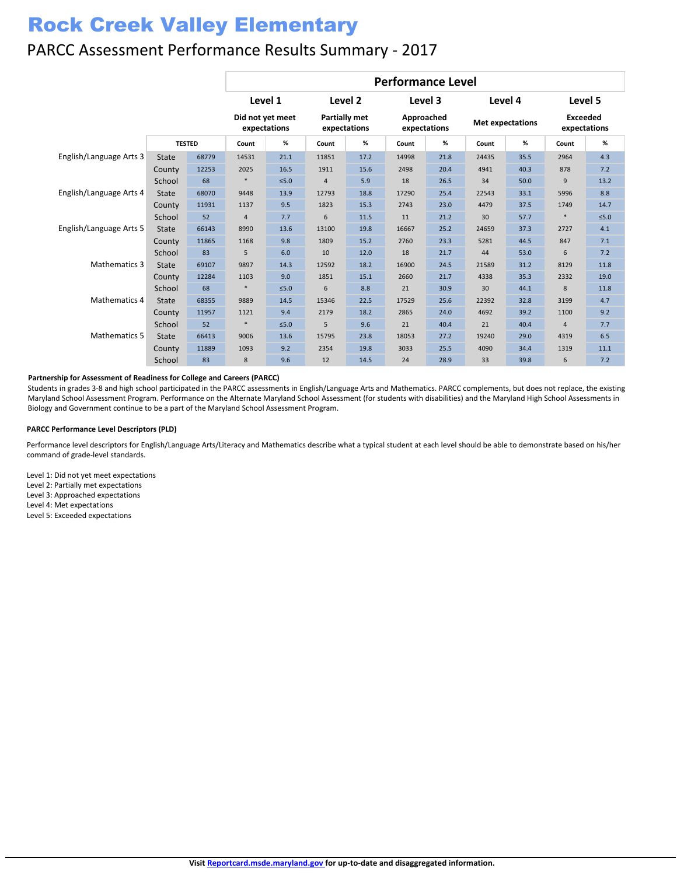# Rock Creek Valley Elementary

### PARCC Assessment Performance Results Summary - 2017

|                         |               |       | <b>Performance Level</b>         |            |                                      |      |                            |      |                         |      |                                 |        |  |
|-------------------------|---------------|-------|----------------------------------|------------|--------------------------------------|------|----------------------------|------|-------------------------|------|---------------------------------|--------|--|
|                         |               |       | Level 1                          |            | Level 2                              |      | Level 3                    |      | Level 4                 |      | Level 5                         |        |  |
|                         | <b>TESTED</b> |       | Did not yet meet<br>expectations |            | <b>Partially met</b><br>expectations |      | Approached<br>expectations |      | <b>Met expectations</b> |      | <b>Exceeded</b><br>expectations |        |  |
|                         |               |       | Count                            | %          | Count                                | %    | Count                      | %    | Count                   | %    | Count                           | $\%$   |  |
| English/Language Arts 3 | <b>State</b>  | 68779 | 14531                            | 21.1       | 11851                                | 17.2 | 14998                      | 21.8 | 24435                   | 35.5 | 2964                            | 4.3    |  |
|                         | County        | 12253 | 2025                             | 16.5       | 1911                                 | 15.6 | 2498                       | 20.4 | 4941                    | 40.3 | 878                             | 7.2    |  |
|                         | School        | 68    | ∗                                | $≤5.0$     | $\overline{4}$                       | 5.9  | 18                         | 26.5 | 34                      | 50.0 | 9                               | 13.2   |  |
| English/Language Arts 4 | <b>State</b>  | 68070 | 9448                             | 13.9       | 12793                                | 18.8 | 17290                      | 25.4 | 22543                   | 33.1 | 5996                            | 8.8    |  |
|                         | County        | 11931 | 1137                             | 9.5        | 1823                                 | 15.3 | 2743                       | 23.0 | 4479                    | 37.5 | 1749                            | 14.7   |  |
|                         | School        | 52    | $\overline{4}$                   | 7.7        | 6                                    | 11.5 | 11                         | 21.2 | 30                      | 57.7 | $\ast$                          | $≤5.0$ |  |
| English/Language Arts 5 | <b>State</b>  | 66143 | 8990                             | 13.6       | 13100                                | 19.8 | 16667                      | 25.2 | 24659                   | 37.3 | 2727                            | 4.1    |  |
|                         | County        | 11865 | 1168                             | 9.8        | 1809                                 | 15.2 | 2760                       | 23.3 | 5281                    | 44.5 | 847                             | 7.1    |  |
|                         | School        | 83    | 5                                | 6.0        | 10                                   | 12.0 | 18                         | 21.7 | 44                      | 53.0 | 6                               | 7.2    |  |
| Mathematics 3           | <b>State</b>  | 69107 | 9897                             | 14.3       | 12592                                | 18.2 | 16900                      | 24.5 | 21589                   | 31.2 | 8129                            | 11.8   |  |
|                         | County        | 12284 | 1103                             | 9.0        | 1851                                 | 15.1 | 2660                       | 21.7 | 4338                    | 35.3 | 2332                            | 19.0   |  |
|                         | School        | 68    | $\ast$                           | $\leq 5.0$ | 6                                    | 8.8  | 21                         | 30.9 | 30                      | 44.1 | 8                               | 11.8   |  |
| <b>Mathematics 4</b>    | <b>State</b>  | 68355 | 9889                             | 14.5       | 15346                                | 22.5 | 17529                      | 25.6 | 22392                   | 32.8 | 3199                            | 4.7    |  |
|                         | County        | 11957 | 1121                             | 9.4        | 2179                                 | 18.2 | 2865                       | 24.0 | 4692                    | 39.2 | 1100                            | 9.2    |  |
|                         | School        | 52    | $\ast$                           | $≤5.0$     | 5                                    | 9.6  | 21                         | 40.4 | 21                      | 40.4 | $\overline{4}$                  | 7.7    |  |
| <b>Mathematics 5</b>    | <b>State</b>  | 66413 | 9006                             | 13.6       | 15795                                | 23.8 | 18053                      | 27.2 | 19240                   | 29.0 | 4319                            | 6.5    |  |
|                         | County        | 11889 | 1093                             | 9.2        | 2354                                 | 19.8 | 3033                       | 25.5 | 4090                    | 34.4 | 1319                            | 11.1   |  |
|                         | School        | 83    | 8                                | 9.6        | 12                                   | 14.5 | 24                         | 28.9 | 33                      | 39.8 | 6                               | 7.2    |  |

#### **Partnership for Assessment of Readiness for College and Careers (PARCC)**

Students in grades 3-8 and high school participated in the PARCC assessments in English/Language Arts and Mathematics. PARCC complements, but does not replace, the existing Maryland School Assessment Program. Performance on the Alternate Maryland School Assessment (for students with disabilities) and the Maryland High School Assessments in Biology and Government continue to be a part of the Maryland School Assessment Program.

#### **PARCC Performance Level Descriptors (PLD)**

Performance level descriptors for English/Language Arts/Literacy and Mathematics describe what a typical student at each level should be able to demonstrate based on his/her command of grade-level standards.

Level 1: Did not yet meet expectations Level 2: Partially met expectations Level 3: Approached expectations Level 4: Met expectations Level 5: Exceeded expectations